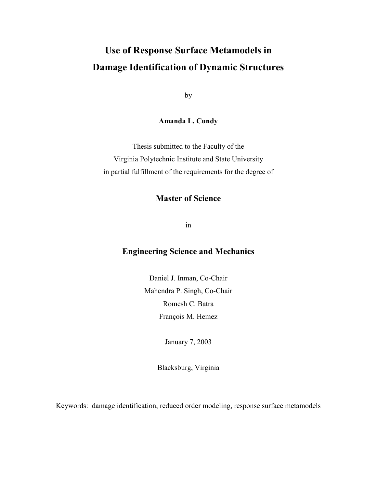# **Use of Response Surface Metamodels in Damage Identification of Dynamic Structures**

by

**Amanda L. Cundy**

Thesis submitted to the Faculty of the Virginia Polytechnic Institute and State University in partial fulfillment of the requirements for the degree of

### **Master of Science**

in

### **Engineering Science and Mechanics**

Daniel J. Inman, Co-Chair Mahendra P. Singh, Co-Chair Romesh C. Batra François M. Hemez

January 7, 2003

Blacksburg, Virginia

Keywords: damage identification, reduced order modeling, response surface metamodels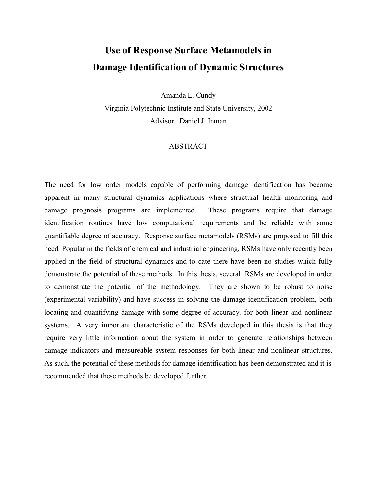# **Use of Response Surface Metamodels in Damage Identification of Dynamic Structures**

Amanda L. Cundy

Virginia Polytechnic Institute and State University, 2002 Advisor: Daniel J. Inman

#### ABSTRACT

The need for low order models capable of performing damage identification has become apparent in many structural dynamics applications where structural health monitoring and damage prognosis programs are implemented. These programs require that damage identification routines have low computational requirements and be reliable with some quantifiable degree of accuracy. Response surface metamodels (RSMs) are proposed to fill this need. Popular in the fields of chemical and industrial engineering, RSMs have only recently been applied in the field of structural dynamics and to date there have been no studies which fully demonstrate the potential of these methods. In this thesis, several RSMs are developed in order to demonstrate the potential of the methodology. They are shown to be robust to noise (experimental variability) and have success in solving the damage identification problem, both locating and quantifying damage with some degree of accuracy, for both linear and nonlinear systems. A very important characteristic of the RSMs developed in this thesis is that they require very little information about the system in order to generate relationships between damage indicators and measureable system responses for both linear and nonlinear structures. As such, the potential of these methods for damage identification has been demonstrated and it is recommended that these methods be developed further.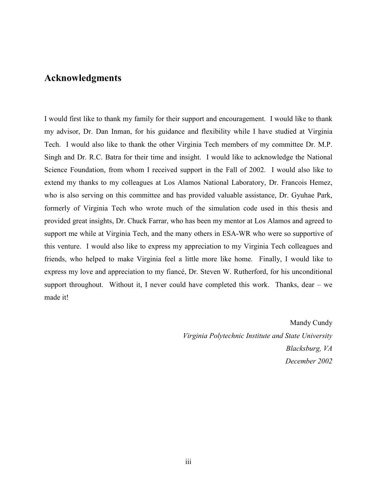### **Acknowledgments**

I would first like to thank my family for their support and encouragement. I would like to thank my advisor, Dr. Dan Inman, for his guidance and flexibility while I have studied at Virginia Tech. I would also like to thank the other Virginia Tech members of my committee Dr. M.P. Singh and Dr. R.C. Batra for their time and insight. I would like to acknowledge the National Science Foundation, from whom I received support in the Fall of 2002. I would also like to extend my thanks to my colleagues at Los Alamos National Laboratory, Dr. Francois Hemez, who is also serving on this committee and has provided valuable assistance, Dr. Gyuhae Park, formerly of Virginia Tech who wrote much of the simulation code used in this thesis and provided great insights, Dr. Chuck Farrar, who has been my mentor at Los Alamos and agreed to support me while at Virginia Tech, and the many others in ESA-WR who were so supportive of this venture. I would also like to express my appreciation to my Virginia Tech colleagues and friends, who helped to make Virginia feel a little more like home. Finally, I would like to express my love and appreciation to my fiancé, Dr. Steven W. Rutherford, for his unconditional support throughout. Without it, I never could have completed this work. Thanks, dear  $-$  we made it!

> Mandy Cundy *Virginia Polytechnic Institute and State University Blacksburg, VA December 2002*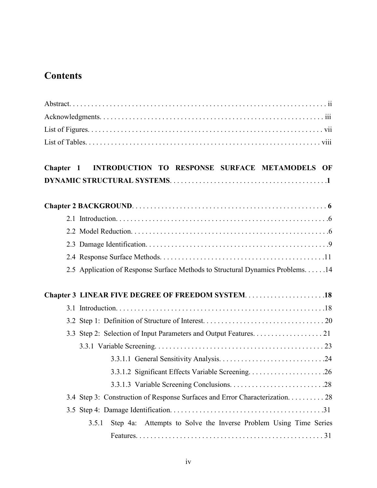## **Contents**

| Chapter 1 INTRODUCTION TO RESPONSE SURFACE METAMODELS OF                      |
|-------------------------------------------------------------------------------|
|                                                                               |
|                                                                               |
|                                                                               |
|                                                                               |
|                                                                               |
| 2.5 Application of Response Surface Methods to Structural Dynamics Problems14 |
|                                                                               |
|                                                                               |
|                                                                               |
|                                                                               |
|                                                                               |
|                                                                               |
| 3.3.1.2 Significant Effects Variable Screening26                              |
|                                                                               |
| 3.4 Step 3: Construction of Response Surfaces and Error Characterization. 28  |
|                                                                               |
| Step 4a: Attempts to Solve the Inverse Problem Using Time Series<br>3.5.1     |
|                                                                               |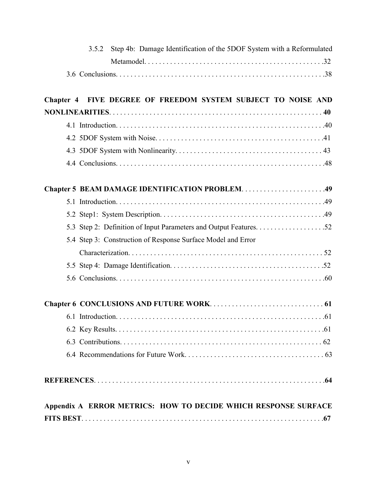| Step 4b: Damage Identification of the 5DOF System with a Reformulated<br>3.5.2 |
|--------------------------------------------------------------------------------|
|                                                                                |
|                                                                                |
| Chapter 4 FIVE DEGREE OF FREEDOM SYSTEM SUBJECT TO NOISE AND                   |
|                                                                                |
|                                                                                |
|                                                                                |
|                                                                                |
|                                                                                |
|                                                                                |
|                                                                                |
|                                                                                |
|                                                                                |
| 5.4 Step 3: Construction of Response Surface Model and Error                   |
|                                                                                |
|                                                                                |
|                                                                                |
|                                                                                |
| 6.1 Introduction.<br>. .61                                                     |
|                                                                                |
|                                                                                |
|                                                                                |
|                                                                                |
| Appendix A ERROR METRICS: HOW TO DECIDE WHICH RESPONSE SURFACE                 |
|                                                                                |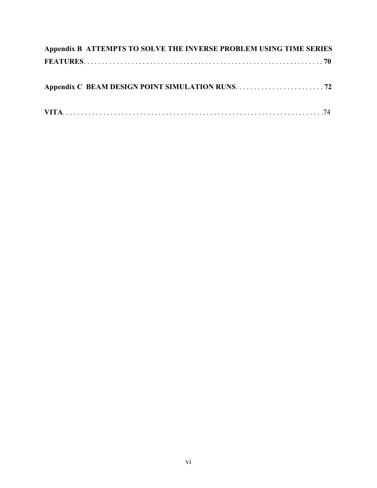| Appendix B ATTEMPTS TO SOLVE THE INVERSE PROBLEM USING TIME SERIES |  |
|--------------------------------------------------------------------|--|
|                                                                    |  |
|                                                                    |  |
|                                                                    |  |
|                                                                    |  |
|                                                                    |  |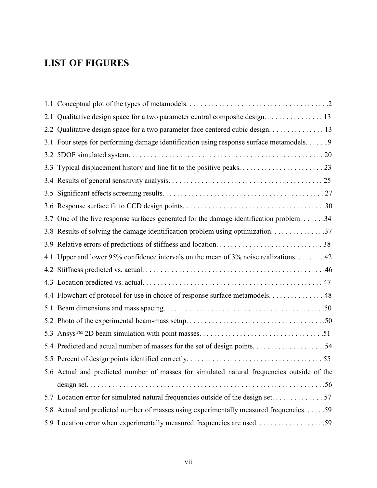## **LIST OF FIGURES**

|     | 2.1 Qualitative design space for a two parameter central composite design. 13              |
|-----|--------------------------------------------------------------------------------------------|
|     | 2.2 Qualitative design space for a two parameter face centered cubic design. 13            |
|     | 3.1 Four steps for performing damage identification using response surface metamodels. 19  |
|     |                                                                                            |
| 3.3 |                                                                                            |
|     |                                                                                            |
|     |                                                                                            |
|     |                                                                                            |
|     | 3.7 One of the five response surfaces generated for the damage identification problem. 34  |
|     | 3.8 Results of solving the damage identification problem using optimization. 37            |
|     |                                                                                            |
|     | 4.1 Upper and lower 95% confidence intervals on the mean of 3% noise realizations. 42      |
|     |                                                                                            |
|     |                                                                                            |
|     |                                                                                            |
|     | 4.4 Flowchart of protocol for use in choice of response surface metamodels. 48             |
|     |                                                                                            |
|     |                                                                                            |
|     |                                                                                            |
|     |                                                                                            |
|     |                                                                                            |
|     | 5.6 Actual and predicted number of masses for simulated natural frequencies outside of the |
|     |                                                                                            |
|     |                                                                                            |
|     | 5.8 Actual and predicted number of masses using experimentally measured frequencies. 59    |